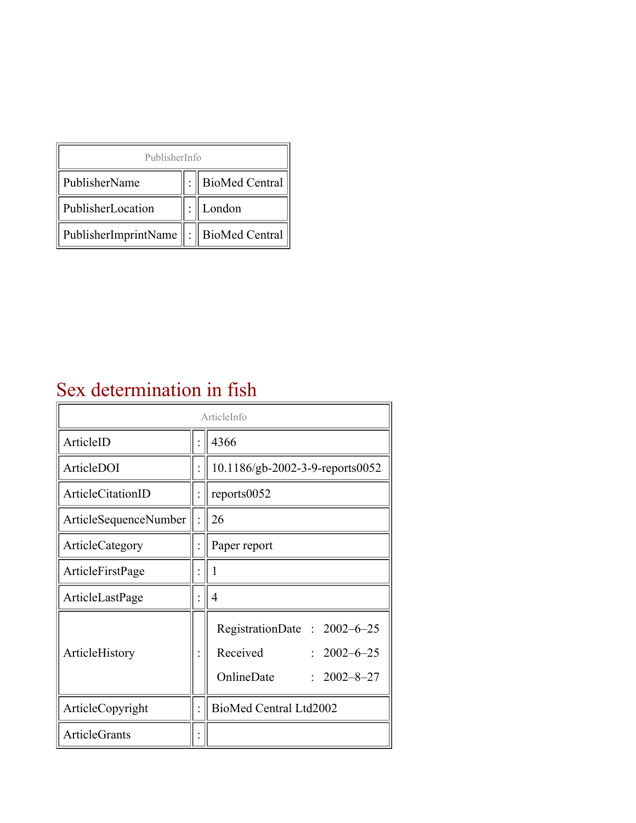| PublisherInfo                              |  |                    |  |  |
|--------------------------------------------|--|--------------------|--|--|
| PublisherName                              |  | :   BioMed Central |  |  |
| PublisherLocation                          |  | London             |  |  |
| PublisherImprintName   :    BioMed Central |  |                    |  |  |

### Sex determination in fish

| ArticleInfo           |  |                                                                                                 |  |
|-----------------------|--|-------------------------------------------------------------------------------------------------|--|
| ArticleID             |  | 4366                                                                                            |  |
| ArticleDOI            |  | 10.1186/gb-2002-3-9-reports0052                                                                 |  |
| ArticleCitationID     |  | reports0052                                                                                     |  |
| ArticleSequenceNumber |  | 26                                                                                              |  |
| ArticleCategory       |  | Paper report                                                                                    |  |
| ArticleFirstPage      |  |                                                                                                 |  |
| ArticleLastPage       |  | $\overline{4}$                                                                                  |  |
| ArticleHistory        |  | RegistrationDate: 2002-6-25<br>Received<br>$: 2002 - 6 - 25$<br>OnlineDate<br>$: 2002 - 8 - 27$ |  |
| ArticleCopyright      |  | BioMed Central Ltd2002                                                                          |  |
| ArticleGrants         |  |                                                                                                 |  |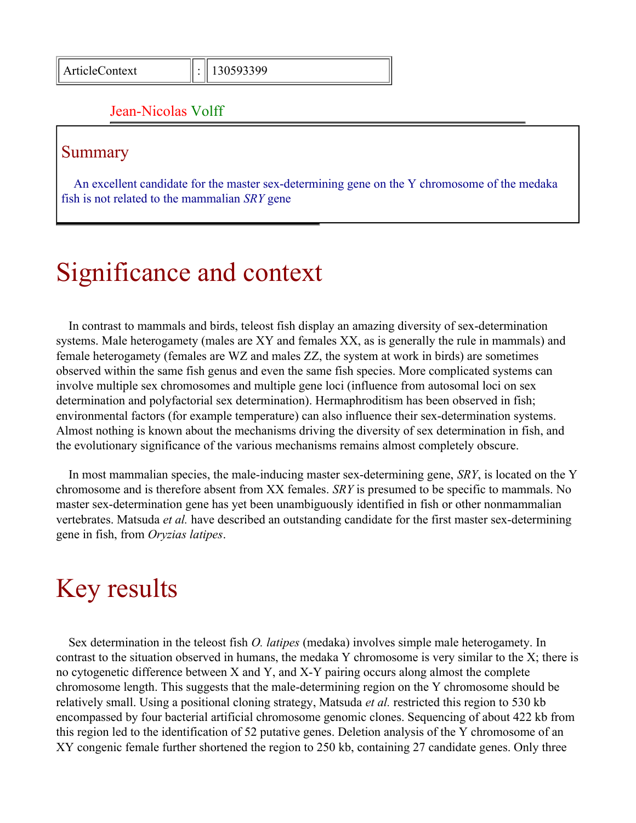#### Jean-Nicolas Volff

#### Summary

An excellent candidate for the master sex-determining gene on the Y chromosome of the medaka fish is not related to the mammalian *SRY* gene

# Significance and context

In contrast to mammals and birds, teleost fish display an amazing diversity of sex-determination systems. Male heterogamety (males are XY and females XX, as is generally the rule in mammals) and female heterogamety (females are WZ and males ZZ, the system at work in birds) are sometimes observed within the same fish genus and even the same fish species. More complicated systems can involve multiple sex chromosomes and multiple gene loci (influence from autosomal loci on sex determination and polyfactorial sex determination). Hermaphroditism has been observed in fish; environmental factors (for example temperature) can also influence their sex-determination systems. Almost nothing is known about the mechanisms driving the diversity of sex determination in fish, and the evolutionary significance of the various mechanisms remains almost completely obscure.

In most mammalian species, the male-inducing master sex-determining gene, *SRY*, is located on the Y chromosome and is therefore absent from XX females. *SRY* is presumed to be specific to mammals. No master sex-determination gene has yet been unambiguously identified in fish or other nonmammalian vertebrates. Matsuda *et al.* have described an outstanding candidate for the first master sex-determining gene in fish, from *Oryzias latipes*.

## Key results

Sex determination in the teleost fish *O. latipes* (medaka) involves simple male heterogamety. In contrast to the situation observed in humans, the medaka Y chromosome is very similar to the X; there is no cytogenetic difference between X and Y, and X-Y pairing occurs along almost the complete chromosome length. This suggests that the male-determining region on the Y chromosome should be relatively small. Using a positional cloning strategy, Matsuda *et al.* restricted this region to 530 kb encompassed by four bacterial artificial chromosome genomic clones. Sequencing of about 422 kb from this region led to the identification of 52 putative genes. Deletion analysis of the Y chromosome of an XY congenic female further shortened the region to 250 kb, containing 27 candidate genes. Only three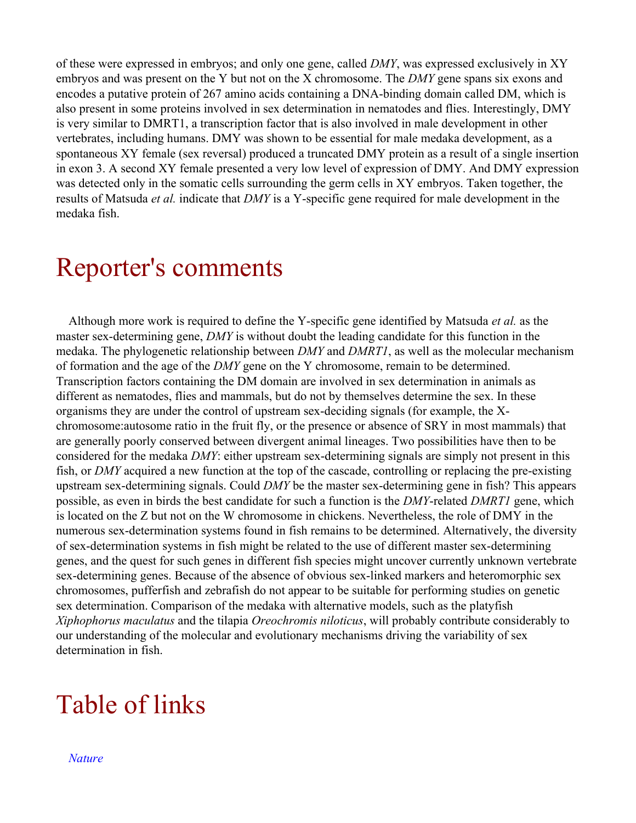of these were expressed in embryos; and only one gene, called *DMY*, was expressed exclusively in XY embryos and was present on the Y but not on the X chromosome. The *DMY* gene spans six exons and encodes a putative protein of 267 amino acids containing a DNA-binding domain called DM, which is also present in some proteins involved in sex determination in nematodes and flies. Interestingly, DMY is very similar to DMRT1, a transcription factor that is also involved in male development in other vertebrates, including humans. DMY was shown to be essential for male medaka development, as a spontaneous XY female (sex reversal) produced a truncated DMY protein as a result of a single insertion in exon 3. A second XY female presented a very low level of expression of DMY. And DMY expression was detected only in the somatic cells surrounding the germ cells in XY embryos. Taken together, the results of Matsuda *et al.* indicate that *DMY* is a Y-specific gene required for male development in the medaka fish.

## Reporter's comments

Although more work is required to define the Y-specific gene identified by Matsuda *et al.* as the master sex-determining gene, *DMY* is without doubt the leading candidate for this function in the medaka. The phylogenetic relationship between *DMY* and *DMRT1*, as well as the molecular mechanism of formation and the age of the *DMY* gene on the Y chromosome, remain to be determined. Transcription factors containing the DM domain are involved in sex determination in animals as different as nematodes, flies and mammals, but do not by themselves determine the sex. In these organisms they are under the control of upstream sex-deciding signals (for example, the Xchromosome:autosome ratio in the fruit fly, or the presence or absence of SRY in most mammals) that are generally poorly conserved between divergent animal lineages. Two possibilities have then to be considered for the medaka *DMY*: either upstream sex-determining signals are simply not present in this fish, or *DMY* acquired a new function at the top of the cascade, controlling or replacing the pre-existing upstream sex-determining signals. Could *DMY* be the master sex-determining gene in fish? This appears possible, as even in birds the best candidate for such a function is the *DMY*-related *DMRT1* gene, which is located on the Z but not on the W chromosome in chickens. Nevertheless, the role of DMY in the numerous sex-determination systems found in fish remains to be determined. Alternatively, the diversity of sex-determination systems in fish might be related to the use of different master sex-determining genes, and the quest for such genes in different fish species might uncover currently unknown vertebrate sex-determining genes. Because of the absence of obvious sex-linked markers and heteromorphic sex chromosomes, pufferfish and zebrafish do not appear to be suitable for performing studies on genetic sex determination. Comparison of the medaka with alternative models, such as the platyfish *Xiphophorus maculatus* and the tilapia *Oreochromis niloticus*, will probably contribute considerably to our understanding of the molecular and evolutionary mechanisms driving the variability of sex determination in fish.

# Table of links

*[Nature](http://www.nature.com/)*